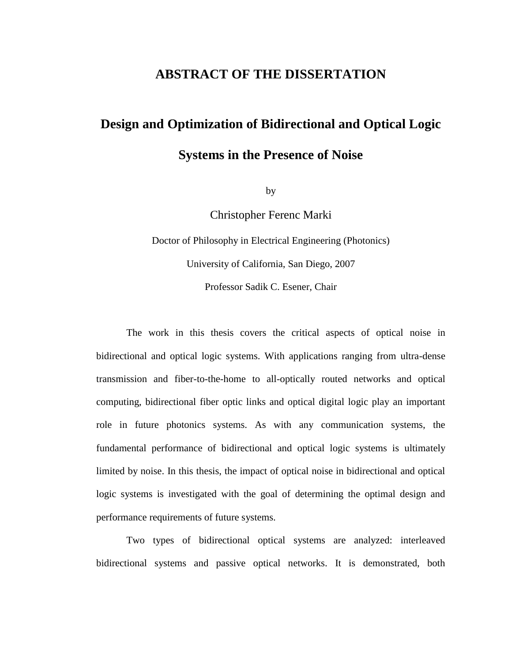### **ABSTRACT OF THE DISSERTATION**

# **Design and Optimization of Bidirectional and Optical Logic Systems in the Presence of Noise**

by

Christopher Ferenc Marki

Doctor of Philosophy in Electrical Engineering (Photonics) University of California, San Diego, 2007 Professor Sadik C. Esener, Chair

The work in this thesis covers the critical aspects of optical noise in bidirectional and optical logic systems. With applications ranging from ultra-dense transmission and fiber-to-the-home to all-optically routed networks and optical computing, bidirectional fiber optic links and optical digital logic play an important role in future photonics systems. As with any communication systems, the fundamental performance of bidirectional and optical logic systems is ultimately limited by noise. In this thesis, the impact of optical noise in bidirectional and optical logic systems is investigated with the goal of determining the optimal design and performance requirements of future systems.

Two types of bidirectional optical systems are analyzed: interleaved bidirectional systems and passive optical networks. It is demonstrated, both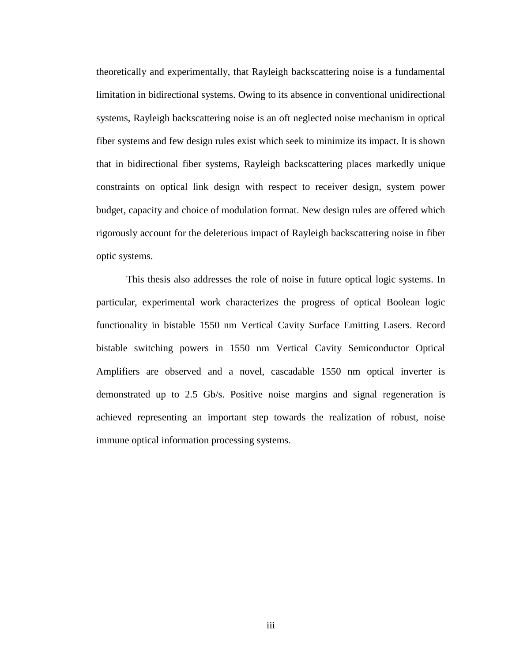theoretically and experimentally, that Rayleigh backscattering noise is a fundamental limitation in bidirectional systems. Owing to its absence in conventional unidirectional systems, Rayleigh backscattering noise is an oft neglected noise mechanism in optical fiber systems and few design rules exist which seek to minimize its impact. It is shown that in bidirectional fiber systems, Rayleigh backscattering places markedly unique constraints on optical link design with respect to receiver design, system power budget, capacity and choice of modulation format. New design rules are offered which rigorously account for the deleterious impact of Rayleigh backscattering noise in fiber optic systems.

This thesis also addresses the role of noise in future optical logic systems. In particular, experimental work characterizes the progress of optical Boolean logic functionality in bistable 1550 nm Vertical Cavity Surface Emitting Lasers. Record bistable switching powers in 1550 nm Vertical Cavity Semiconductor Optical Amplifiers are observed and a novel, cascadable 1550 nm optical inverter is demonstrated up to 2.5 Gb/s. Positive noise margins and signal regeneration is achieved representing an important step towards the realization of robust, noise immune optical information processing systems.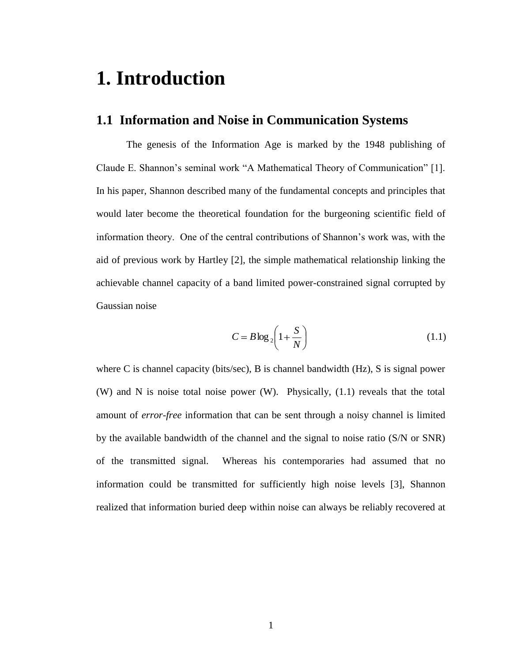# **1. Introduction**

## **1.1 Information and Noise in Communication Systems**

The genesis of the Information Age is marked by the 1948 publishing of Claude E. Shannon's seminal work "A Mathematical Theory of Communication" [1]. In his paper, Shannon described many of the fundamental concepts and principles that would later become the theoretical foundation for the burgeoning scientific field of information theory. One of the central contributions of Shannon's work was, with the aid of previous work by Hartley [2], the simple mathematical relationship linking the achievable channel capacity of a band limited power-constrained signal corrupted by Gaussian noise

$$
C = B \log_2 \left( 1 + \frac{S}{N} \right) \tag{1.1}
$$

where C is channel capacity (bits/sec), B is channel bandwidth (Hz), S is signal power (W) and N is noise total noise power (W). Physically, (1.1) reveals that the total amount of *error-free* information that can be sent through a noisy channel is limited by the available bandwidth of the channel and the signal to noise ratio (S/N or SNR) of the transmitted signal. Whereas his contemporaries had assumed that no information could be transmitted for sufficiently high noise levels [3], Shannon realized that information buried deep within noise can always be reliably recovered at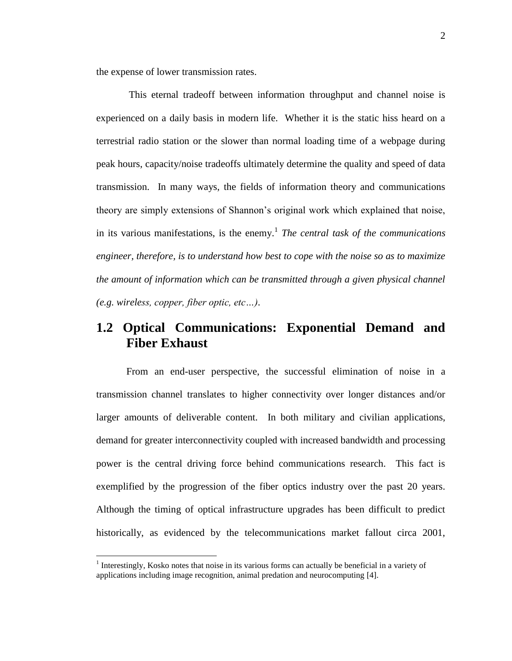the expense of lower transmission rates.

This eternal tradeoff between information throughput and channel noise is experienced on a daily basis in modern life. Whether it is the static hiss heard on a terrestrial radio station or the slower than normal loading time of a webpage during peak hours, capacity/noise tradeoffs ultimately determine the quality and speed of data transmission. In many ways, the fields of information theory and communications theory are simply extensions of Shannon's original work which explained that noise, in its various manifestations, is the enemy.<sup>1</sup> The central task of the communications *engineer, therefore, is to understand how best to cope with the noise so as to maximize the amount of information which can be transmitted through a given physical channel (e.g. wireless, copper, fiber optic, etc…)*.

## **1.2 Optical Communications: Exponential Demand and Fiber Exhaust**

From an end-user perspective, the successful elimination of noise in a transmission channel translates to higher connectivity over longer distances and/or larger amounts of deliverable content. In both military and civilian applications, demand for greater interconnectivity coupled with increased bandwidth and processing power is the central driving force behind communications research. This fact is exemplified by the progression of the fiber optics industry over the past 20 years. Although the timing of optical infrastructure upgrades has been difficult to predict historically, as evidenced by the telecommunications market fallout circa 2001,

 $\overline{a}$ 

 $<sup>1</sup>$  Interestingly, Kosko notes that noise in its various forms can actually be beneficial in a variety of</sup> applications including image recognition, animal predation and neurocomputing [4].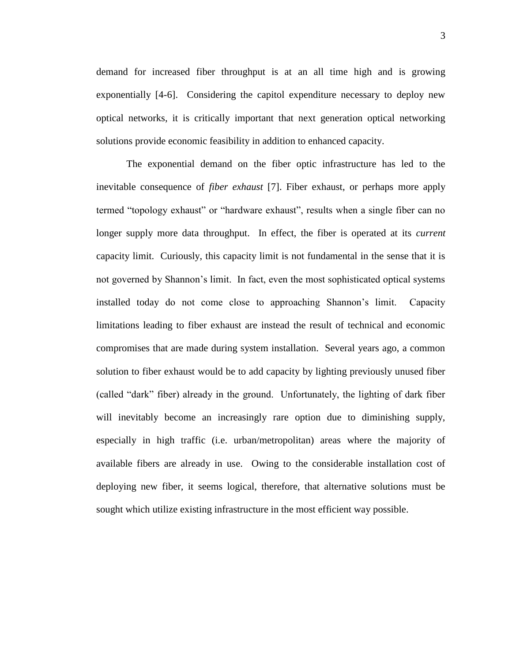demand for increased fiber throughput is at an all time high and is growing exponentially [4-6]. Considering the capitol expenditure necessary to deploy new optical networks, it is critically important that next generation optical networking solutions provide economic feasibility in addition to enhanced capacity.

The exponential demand on the fiber optic infrastructure has led to the inevitable consequence of *fiber exhaust* [7]. Fiber exhaust, or perhaps more apply termed "topology exhaust" or "hardware exhaust", results when a single fiber can no longer supply more data throughput. In effect, the fiber is operated at its *current* capacity limit. Curiously, this capacity limit is not fundamental in the sense that it is not governed by Shannon's limit. In fact, even the most sophisticated optical systems installed today do not come close to approaching Shannon's limit. Capacity limitations leading to fiber exhaust are instead the result of technical and economic compromises that are made during system installation. Several years ago, a common solution to fiber exhaust would be to add capacity by lighting previously unused fiber (called "dark" fiber) already in the ground. Unfortunately, the lighting of dark fiber will inevitably become an increasingly rare option due to diminishing supply, especially in high traffic (i.e. urban/metropolitan) areas where the majority of available fibers are already in use. Owing to the considerable installation cost of deploying new fiber, it seems logical, therefore, that alternative solutions must be sought which utilize existing infrastructure in the most efficient way possible.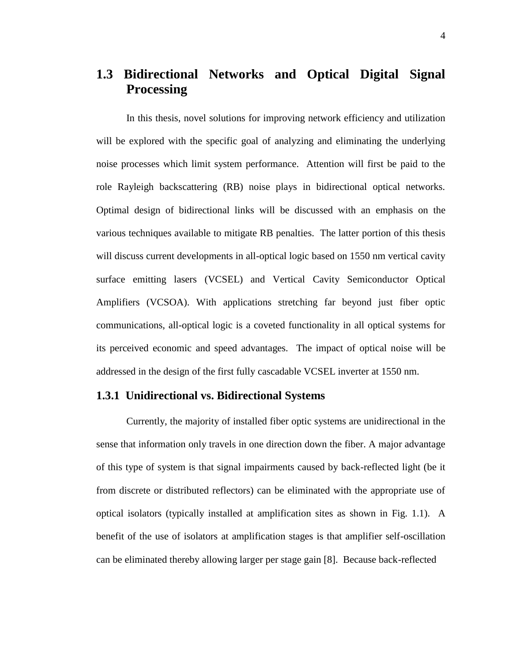# **1.3 Bidirectional Networks and Optical Digital Signal Processing**

In this thesis, novel solutions for improving network efficiency and utilization will be explored with the specific goal of analyzing and eliminating the underlying noise processes which limit system performance. Attention will first be paid to the role Rayleigh backscattering (RB) noise plays in bidirectional optical networks. Optimal design of bidirectional links will be discussed with an emphasis on the various techniques available to mitigate RB penalties. The latter portion of this thesis will discuss current developments in all-optical logic based on 1550 nm vertical cavity surface emitting lasers (VCSEL) and Vertical Cavity Semiconductor Optical Amplifiers (VCSOA). With applications stretching far beyond just fiber optic communications, all-optical logic is a coveted functionality in all optical systems for its perceived economic and speed advantages. The impact of optical noise will be addressed in the design of the first fully cascadable VCSEL inverter at 1550 nm.

#### **1.3.1 Unidirectional vs. Bidirectional Systems**

Currently, the majority of installed fiber optic systems are unidirectional in the sense that information only travels in one direction down the fiber. A major advantage of this type of system is that signal impairments caused by back-reflected light (be it from discrete or distributed reflectors) can be eliminated with the appropriate use of optical isolators (typically installed at amplification sites as shown in Fig. 1.1). A benefit of the use of isolators at amplification stages is that amplifier self-oscillation can be eliminated thereby allowing larger per stage gain [8]. Because back-reflected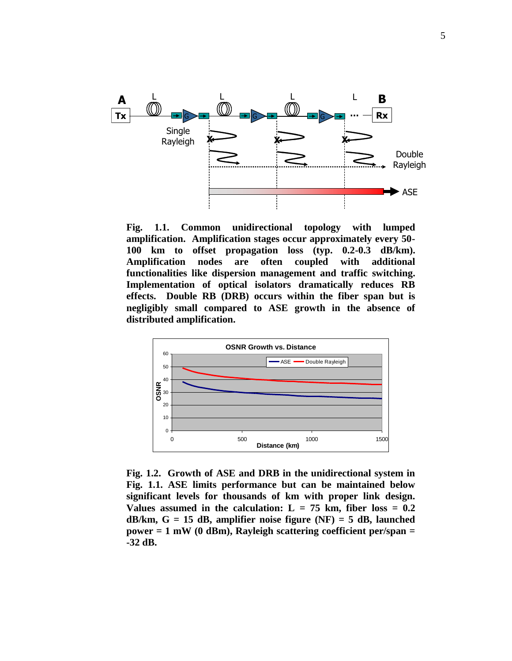

**Fig. 1.1. Common unidirectional topology with lumped amplification. Amplification stages occur approximately every 50- 100 km to offset propagation loss (typ. 0.2-0.3 dB/km). Amplification nodes are often coupled with additional functionalities like dispersion management and traffic switching. Implementation of optical isolators dramatically reduces RB effects. Double RB (DRB) occurs within the fiber span but is negligibly small compared to ASE growth in the absence of distributed amplification.** 



**Fig. 1.2. Growth of ASE and DRB in the unidirectional system in Fig. 1.1. ASE limits performance but can be maintained below significant levels for thousands of km with proper link design.**  Values assumed in the calculation:  $L = 75$  km, fiber loss  $= 0.2$ **dB/km, G = 15 dB, amplifier noise figure (NF) = 5 dB, launched power = 1 mW (0 dBm), Rayleigh scattering coefficient per/span = -32 dB.**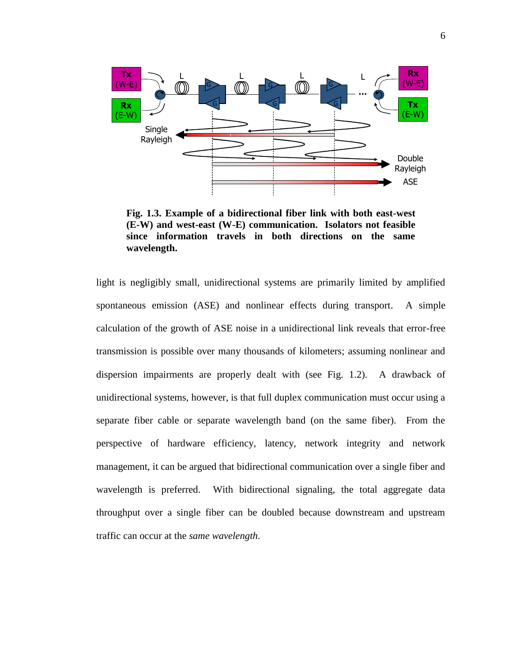

**Fig. 1.3. Example of a bidirectional fiber link with both east-west (E-W) and west-east (W-E) communication. Isolators not feasible since information travels in both directions on the same wavelength.** 

light is negligibly small, unidirectional systems are primarily limited by amplified spontaneous emission (ASE) and nonlinear effects during transport. A simple calculation of the growth of ASE noise in a unidirectional link reveals that error-free transmission is possible over many thousands of kilometers; assuming nonlinear and dispersion impairments are properly dealt with (see Fig. 1.2). A drawback of unidirectional systems, however, is that full duplex communication must occur using a separate fiber cable or separate wavelength band (on the same fiber). From the perspective of hardware efficiency, latency, network integrity and network management, it can be argued that bidirectional communication over a single fiber and wavelength is preferred. With bidirectional signaling, the total aggregate data throughput over a single fiber can be doubled because downstream and upstream traffic can occur at the *same wavelength*.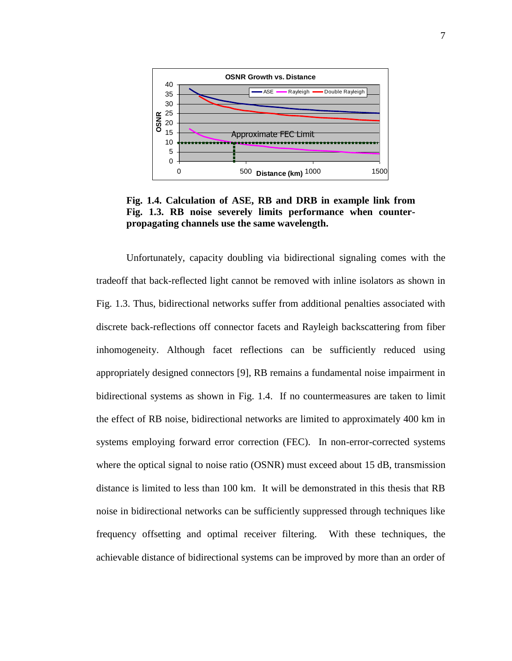

**Fig. 1.4. Calculation of ASE, RB and DRB in example link from Fig. 1.3. RB noise severely limits performance when counterpropagating channels use the same wavelength.** 

Unfortunately, capacity doubling via bidirectional signaling comes with the tradeoff that back-reflected light cannot be removed with inline isolators as shown in Fig. 1.3. Thus, bidirectional networks suffer from additional penalties associated with discrete back-reflections off connector facets and Rayleigh backscattering from fiber inhomogeneity. Although facet reflections can be sufficiently reduced using appropriately designed connectors [9], RB remains a fundamental noise impairment in bidirectional systems as shown in Fig. 1.4. If no countermeasures are taken to limit the effect of RB noise, bidirectional networks are limited to approximately 400 km in systems employing forward error correction (FEC). In non-error-corrected systems where the optical signal to noise ratio (OSNR) must exceed about 15 dB, transmission distance is limited to less than 100 km. It will be demonstrated in this thesis that RB noise in bidirectional networks can be sufficiently suppressed through techniques like frequency offsetting and optimal receiver filtering. With these techniques, the achievable distance of bidirectional systems can be improved by more than an order of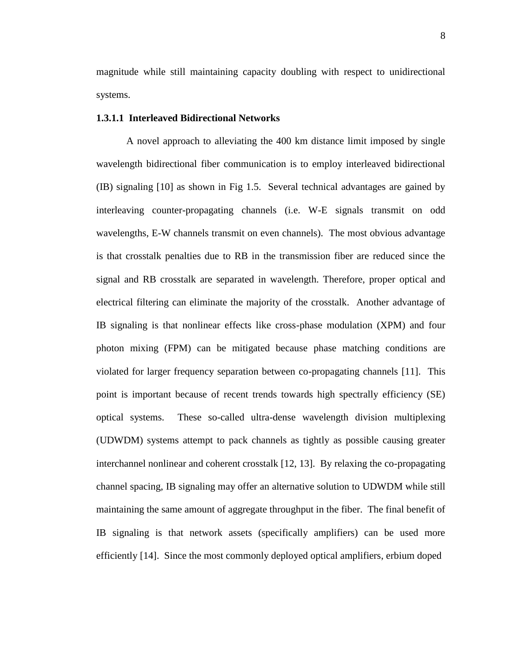magnitude while still maintaining capacity doubling with respect to unidirectional systems.

#### **1.3.1.1 Interleaved Bidirectional Networks**

A novel approach to alleviating the 400 km distance limit imposed by single wavelength bidirectional fiber communication is to employ interleaved bidirectional (IB) signaling [10] as shown in Fig 1.5. Several technical advantages are gained by interleaving counter-propagating channels (i.e. W-E signals transmit on odd wavelengths, E-W channels transmit on even channels). The most obvious advantage is that crosstalk penalties due to RB in the transmission fiber are reduced since the signal and RB crosstalk are separated in wavelength. Therefore, proper optical and electrical filtering can eliminate the majority of the crosstalk. Another advantage of IB signaling is that nonlinear effects like cross-phase modulation (XPM) and four photon mixing (FPM) can be mitigated because phase matching conditions are violated for larger frequency separation between co-propagating channels [11]. This point is important because of recent trends towards high spectrally efficiency (SE) optical systems. These so-called ultra-dense wavelength division multiplexing (UDWDM) systems attempt to pack channels as tightly as possible causing greater interchannel nonlinear and coherent crosstalk [12, 13]. By relaxing the co-propagating channel spacing, IB signaling may offer an alternative solution to UDWDM while still maintaining the same amount of aggregate throughput in the fiber. The final benefit of IB signaling is that network assets (specifically amplifiers) can be used more efficiently [14]. Since the most commonly deployed optical amplifiers, erbium doped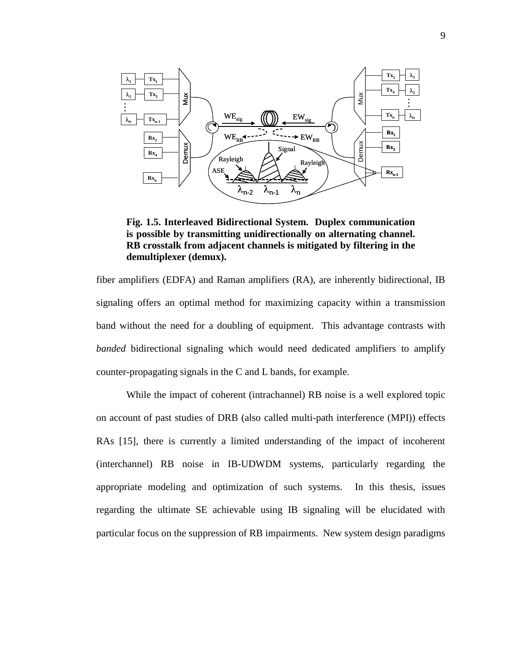

**Fig. 1.5. Interleaved Bidirectional System. Duplex communication is possible by transmitting unidirectionally on alternating channel. RB crosstalk from adjacent channels is mitigated by filtering in the demultiplexer (demux).** 

fiber amplifiers (EDFA) and Raman amplifiers (RA), are inherently bidirectional, IB signaling offers an optimal method for maximizing capacity within a transmission band without the need for a doubling of equipment. This advantage contrasts with *banded* bidirectional signaling which would need dedicated amplifiers to amplify counter-propagating signals in the C and L bands, for example.

While the impact of coherent (intrachannel) RB noise is a well explored topic on account of past studies of DRB (also called multi-path interference (MPI)) effects RAs [15], there is currently a limited understanding of the impact of incoherent (interchannel) RB noise in IB-UDWDM systems, particularly regarding the appropriate modeling and optimization of such systems. In this thesis, issues regarding the ultimate SE achievable using IB signaling will be elucidated with particular focus on the suppression of RB impairments. New system design paradigms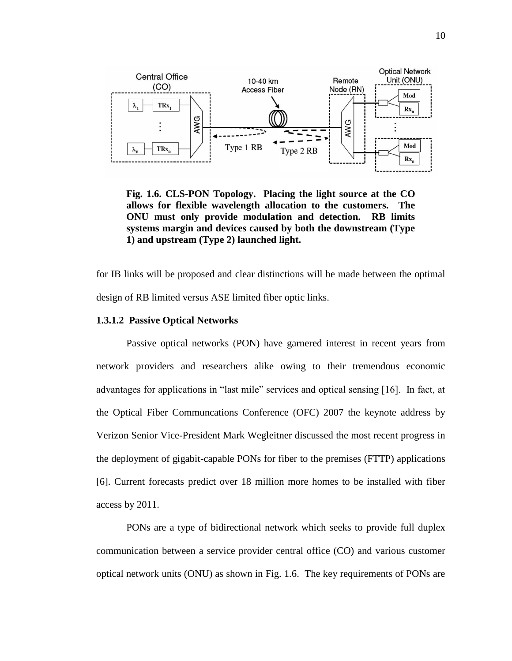

**Fig. 1.6. CLS-PON Topology. Placing the light source at the CO allows for flexible wavelength allocation to the customers. The ONU must only provide modulation and detection. RB limits systems margin and devices caused by both the downstream (Type 1) and upstream (Type 2) launched light.** 

for IB links will be proposed and clear distinctions will be made between the optimal design of RB limited versus ASE limited fiber optic links.

#### **1.3.1.2 Passive Optical Networks**

Passive optical networks (PON) have garnered interest in recent years from network providers and researchers alike owing to their tremendous economic advantages for applications in "last mile" services and optical sensing [16]. In fact, at the Optical Fiber Communcations Conference (OFC) 2007 the keynote address by Verizon Senior Vice-President Mark Wegleitner discussed the most recent progress in the deployment of gigabit-capable PONs for fiber to the premises (FTTP) applications [6]. Current forecasts predict over 18 million more homes to be installed with fiber access by 2011.

PONs are a type of bidirectional network which seeks to provide full duplex communication between a service provider central office (CO) and various customer optical network units (ONU) as shown in Fig. 1.6. The key requirements of PONs are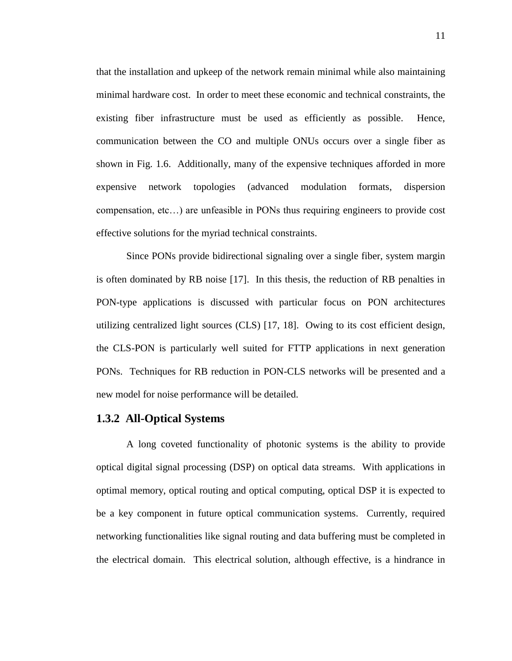that the installation and upkeep of the network remain minimal while also maintaining minimal hardware cost. In order to meet these economic and technical constraints, the existing fiber infrastructure must be used as efficiently as possible. Hence, communication between the CO and multiple ONUs occurs over a single fiber as shown in Fig. 1.6. Additionally, many of the expensive techniques afforded in more expensive network topologies (advanced modulation formats, dispersion compensation, etc…) are unfeasible in PONs thus requiring engineers to provide cost effective solutions for the myriad technical constraints.

Since PONs provide bidirectional signaling over a single fiber, system margin is often dominated by RB noise [17]. In this thesis, the reduction of RB penalties in PON-type applications is discussed with particular focus on PON architectures utilizing centralized light sources (CLS) [17, 18]. Owing to its cost efficient design, the CLS-PON is particularly well suited for FTTP applications in next generation PONs. Techniques for RB reduction in PON-CLS networks will be presented and a new model for noise performance will be detailed.

#### **1.3.2 All-Optical Systems**

A long coveted functionality of photonic systems is the ability to provide optical digital signal processing (DSP) on optical data streams. With applications in optimal memory, optical routing and optical computing, optical DSP it is expected to be a key component in future optical communication systems. Currently, required networking functionalities like signal routing and data buffering must be completed in the electrical domain. This electrical solution, although effective, is a hindrance in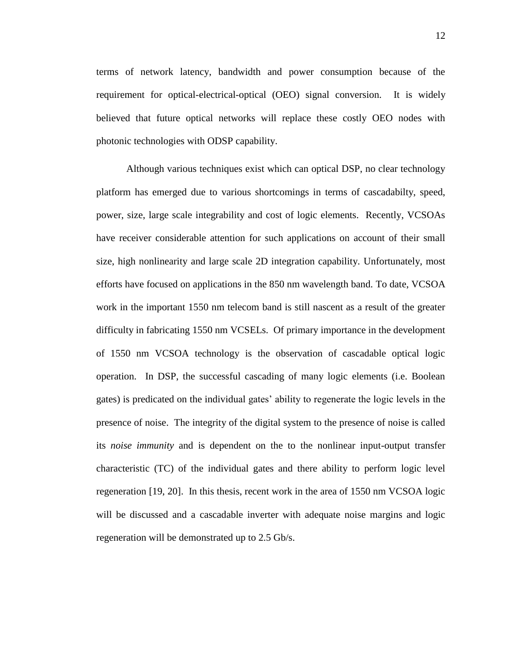terms of network latency, bandwidth and power consumption because of the requirement for optical-electrical-optical (OEO) signal conversion. It is widely believed that future optical networks will replace these costly OEO nodes with photonic technologies with ODSP capability.

Although various techniques exist which can optical DSP, no clear technology platform has emerged due to various shortcomings in terms of cascadabilty, speed, power, size, large scale integrability and cost of logic elements. Recently, VCSOAs have receiver considerable attention for such applications on account of their small size, high nonlinearity and large scale 2D integration capability. Unfortunately, most efforts have focused on applications in the 850 nm wavelength band. To date, VCSOA work in the important 1550 nm telecom band is still nascent as a result of the greater difficulty in fabricating 1550 nm VCSELs. Of primary importance in the development of 1550 nm VCSOA technology is the observation of cascadable optical logic operation. In DSP, the successful cascading of many logic elements (i.e. Boolean gates) is predicated on the individual gates' ability to regenerate the logic levels in the presence of noise. The integrity of the digital system to the presence of noise is called its *noise immunity* and is dependent on the to the nonlinear input-output transfer characteristic (TC) of the individual gates and there ability to perform logic level regeneration [19, 20]. In this thesis, recent work in the area of 1550 nm VCSOA logic will be discussed and a cascadable inverter with adequate noise margins and logic regeneration will be demonstrated up to 2.5 Gb/s.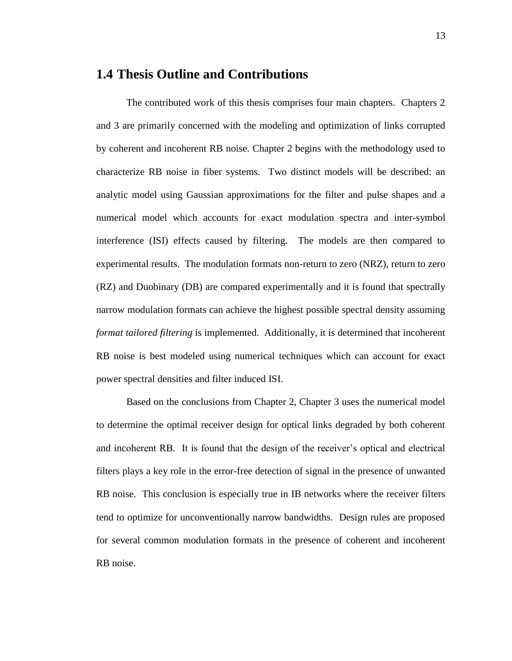#### **1.4 Thesis Outline and Contributions**

The contributed work of this thesis comprises four main chapters. Chapters 2 and 3 are primarily concerned with the modeling and optimization of links corrupted by coherent and incoherent RB noise. Chapter 2 begins with the methodology used to characterize RB noise in fiber systems. Two distinct models will be described: an analytic model using Gaussian approximations for the filter and pulse shapes and a numerical model which accounts for exact modulation spectra and inter-symbol interference (ISI) effects caused by filtering. The models are then compared to experimental results. The modulation formats non-return to zero (NRZ), return to zero (RZ) and Duobinary (DB) are compared experimentally and it is found that spectrally narrow modulation formats can achieve the highest possible spectral density assuming *format tailored filtering* is implemented. Additionally, it is determined that incoherent RB noise is best modeled using numerical techniques which can account for exact power spectral densities and filter induced ISI.

Based on the conclusions from Chapter 2, Chapter 3 uses the numerical model to determine the optimal receiver design for optical links degraded by both coherent and incoherent RB. It is found that the design of the receiver's optical and electrical filters plays a key role in the error-free detection of signal in the presence of unwanted RB noise. This conclusion is especially true in IB networks where the receiver filters tend to optimize for unconventionally narrow bandwidths. Design rules are proposed for several common modulation formats in the presence of coherent and incoherent RB noise.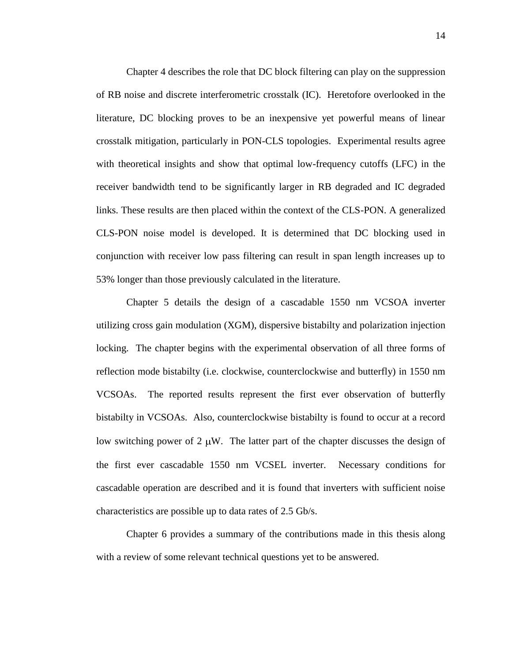Chapter 4 describes the role that DC block filtering can play on the suppression of RB noise and discrete interferometric crosstalk (IC). Heretofore overlooked in the literature, DC blocking proves to be an inexpensive yet powerful means of linear crosstalk mitigation, particularly in PON-CLS topologies. Experimental results agree with theoretical insights and show that optimal low-frequency cutoffs (LFC) in the receiver bandwidth tend to be significantly larger in RB degraded and IC degraded links. These results are then placed within the context of the CLS-PON. A generalized CLS-PON noise model is developed. It is determined that DC blocking used in conjunction with receiver low pass filtering can result in span length increases up to 53% longer than those previously calculated in the literature.

Chapter 5 details the design of a cascadable 1550 nm VCSOA inverter utilizing cross gain modulation (XGM), dispersive bistabilty and polarization injection locking. The chapter begins with the experimental observation of all three forms of reflection mode bistabilty (i.e. clockwise, counterclockwise and butterfly) in 1550 nm VCSOAs. The reported results represent the first ever observation of butterfly bistabilty in VCSOAs. Also, counterclockwise bistabilty is found to occur at a record low switching power of 2  $\mu$ W. The latter part of the chapter discusses the design of the first ever cascadable 1550 nm VCSEL inverter. Necessary conditions for cascadable operation are described and it is found that inverters with sufficient noise characteristics are possible up to data rates of 2.5 Gb/s.

Chapter 6 provides a summary of the contributions made in this thesis along with a review of some relevant technical questions yet to be answered.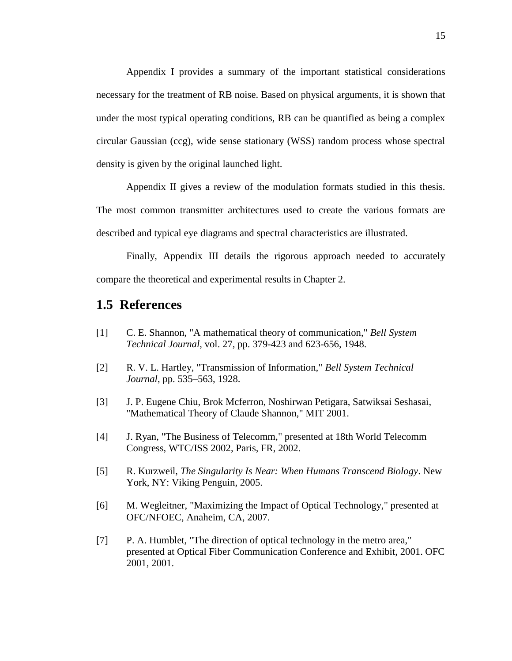Appendix I provides a summary of the important statistical considerations necessary for the treatment of RB noise. Based on physical arguments, it is shown that under the most typical operating conditions, RB can be quantified as being a complex circular Gaussian (ccg), wide sense stationary (WSS) random process whose spectral density is given by the original launched light.

Appendix II gives a review of the modulation formats studied in this thesis.

The most common transmitter architectures used to create the various formats are described and typical eye diagrams and spectral characteristics are illustrated.

Finally, Appendix III details the rigorous approach needed to accurately compare the theoretical and experimental results in Chapter 2.

## **1.5 References**

- [1] C. E. Shannon, "A mathematical theory of communication," *Bell System Technical Journal*, vol. 27, pp. 379-423 and 623-656, 1948.
- [2] R. V. L. Hartley, "Transmission of Information," *Bell System Technical Journal*, pp. 535–563, 1928.
- [3] J. P. Eugene Chiu, Brok Mcferron, Noshirwan Petigara, Satwiksai Seshasai, "Mathematical Theory of Claude Shannon," MIT 2001.
- [4] J. Ryan, "The Business of Telecomm," presented at 18th World Telecomm Congress, WTC/ISS 2002, Paris, FR, 2002.
- [5] R. Kurzweil, *The Singularity Is Near: When Humans Transcend Biology*. New York, NY: Viking Penguin, 2005.
- [6] M. Wegleitner, "Maximizing the Impact of Optical Technology," presented at OFC/NFOEC, Anaheim, CA, 2007.
- [7] P. A. Humblet, "The direction of optical technology in the metro area," presented at Optical Fiber Communication Conference and Exhibit, 2001. OFC 2001, 2001.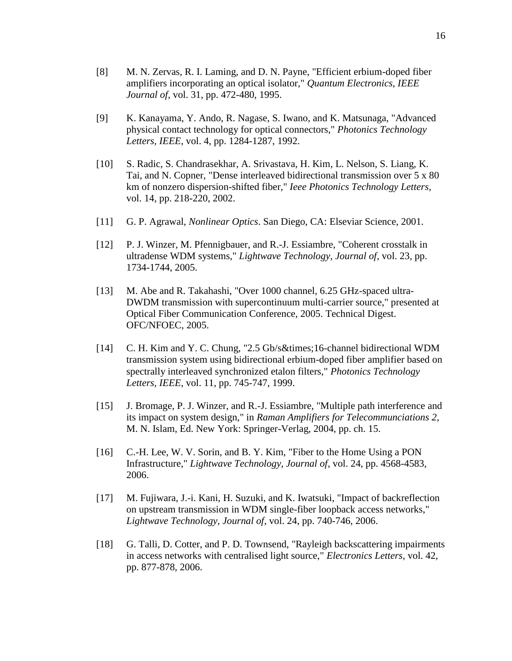- [8] M. N. Zervas, R. I. Laming, and D. N. Payne, "Efficient erbium-doped fiber amplifiers incorporating an optical isolator," *Quantum Electronics, IEEE Journal of*, vol. 31, pp. 472-480, 1995.
- [9] K. Kanayama, Y. Ando, R. Nagase, S. Iwano, and K. Matsunaga, "Advanced physical contact technology for optical connectors," *Photonics Technology Letters, IEEE*, vol. 4, pp. 1284-1287, 1992.
- [10] S. Radic, S. Chandrasekhar, A. Srivastava, H. Kim, L. Nelson, S. Liang, K. Tai, and N. Copner, "Dense interleaved bidirectional transmission over 5 x 80 km of nonzero dispersion-shifted fiber," *Ieee Photonics Technology Letters*, vol. 14, pp. 218-220, 2002.
- [11] G. P. Agrawal, *Nonlinear Optics*. San Diego, CA: Elseviar Science, 2001.
- [12] P. J. Winzer, M. Pfennigbauer, and R.-J. Essiambre, "Coherent crosstalk in ultradense WDM systems," *Lightwave Technology, Journal of*, vol. 23, pp. 1734-1744, 2005.
- [13] M. Abe and R. Takahashi, "Over 1000 channel, 6.25 GHz-spaced ultra-DWDM transmission with supercontinuum multi-carrier source," presented at Optical Fiber Communication Conference, 2005. Technical Digest. OFC/NFOEC, 2005.
- [14] C. H. Kim and Y. C. Chung, "2.5 Gb/s×16-channel bidirectional WDM transmission system using bidirectional erbium-doped fiber amplifier based on spectrally interleaved synchronized etalon filters," *Photonics Technology Letters, IEEE*, vol. 11, pp. 745-747, 1999.
- [15] J. Bromage, P. J. Winzer, and R.-J. Essiambre, "Multiple path interference and its impact on system design," in *Raman Amplifiers for Telecommunciations 2*, M. N. Islam, Ed. New York: Springer-Verlag, 2004, pp. ch. 15.
- [16] C.-H. Lee, W. V. Sorin, and B. Y. Kim, "Fiber to the Home Using a PON Infrastructure," *Lightwave Technology, Journal of*, vol. 24, pp. 4568-4583, 2006.
- [17] M. Fujiwara, J.-i. Kani, H. Suzuki, and K. Iwatsuki, "Impact of backreflection on upstream transmission in WDM single-fiber loopback access networks," *Lightwave Technology, Journal of*, vol. 24, pp. 740-746, 2006.
- [18] G. Talli, D. Cotter, and P. D. Townsend, "Rayleigh backscattering impairments in access networks with centralised light source," *Electronics Letters*, vol. 42, pp. 877-878, 2006.